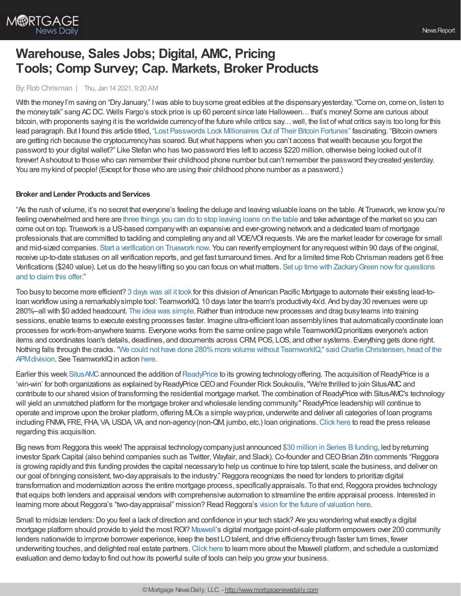

# **Warehouse, Sales Jobs; Digital, AMC, Pricing Tools; Comp Survey; Cap. Markets, Broker Products**

#### By:Rob Chrisman | Thu, Jan 14 2021, 9:20 AM

With the money I'm saving on "Dry January," I was able to buy some great edibles at the dispensary yesterday. "Come on, come on, listen to the money talk" sang ACDC. Wells Fargo's stock price is up 60 percent since late Halloween... that's money! Some are curious about bitcoin, with proponents saying it is the worldwide currency of the future while critics say... well, the list of what critics say is too long for this lead paragraph. But I found this article titled, "Lost [Passwords](https://www.nytimes.com/2021/01/12/technology/bitcoin-passwords-wallets-fortunes.html) Lock Millionaires Out of Their Bitcoin Fortunes" fascinating. "Bitcoin owners are getting rich because the cryptocurrencyhas soared. Butwhat happens when you can't access thatwealth because you forgot the password to your digital wallet?" Like Stefan who has two password tries left to access \$220 million, otherwise being locked out of it forever! Ashoutout to those who can remember their childhood phone number but can't remember the password theycreated yesterday. You are mykind of people! (Except for those who are using their childhood phone number as a password.)

#### **Broker** and Lender Products and Services

"As the rush of volume, it's no secret that everyone's feeling the deluge and leaving valuable loans on the table. At Truework,we knowyou're feeling overwhelmed and here are three things you can do to stop [leaving](https://l.linklyhq.com/l/HNdq) loans on the table and take advantage of the market so you can come out on top. Truework is a US-based companywith an expansive and ever-growing network and a dedicated team of mortgage professionals that are committed to tackling and completing anyand all VOE/VOI requests. We are the market leader for coverage for small and mid-sized companies. Start a [verification](https://l.linklyhq.com/l/HOs7) on Truework now. You can reverify employment for any request within 90 days of the original, receive up-to-date statuses on all verification reports, and get fast turnaround times. And for a limited time Rob Chrisman readers get 6 free Verifications (\$240 value). Let us do the heavy lifting so you can focus on what matters. Set up time with Zackary Green now for questions and to claim this offer."

Too busyto become more efficient? 3 [days](https://teamworkiq.com/american-pacific-mortgage-case-study/?utm_campaign=mortgage&utm_source=robchrisman.com&utm_content=too-busy-to-work-more-efficiently-20210114) was all it took for this division of American Pacific Mortgage to automate their existing lead-toloan workflow using a remarkably simple tool: TeamworkIQ. 10 days later the team's productivity 4x'd. And by day 30 revenues were up 280%--all with \$0 added headcount. The idea was [simple](https://teamworkiq.com/american-pacific-mortgage-case-study/?utm_campaign=mortgage&utm_source=robchrisman.com&utm_content=too-busy-to-work-more-efficiently-20210114).Rather than introduce newprocesses and drag busyteams into training sessions, enable teams to execute existing processes faster. Imagine ultra-efficient loan assemblylines that automaticallycoordinate loan processes for work-from-anywhere teams. Everyone works from the same online page while TeamworkIQ prioritizes everyone's action items and coordinates loan's details, deadlines, and documents across CRM, POS, LOS, and other systems. Everything gets done right. Nothing falls through the cracks. "We could not have done 280% more volume without TeamworkIQ," said Charlie Christensen, head of the APM division. See TeamworkIQ in action [here](https://teamworkiq.com/american-pacific-mortgage-case-study/?utm_campaign=mortgage&utm_source=robchrisman.com&utm_content=too-busy-to-work-more-efficiently-20210114).

Earlier this week [SitusAMC](https://www.situsamc.com/) announced the addition of [ReadyPrice](https://www.readyprice.com/) to its growing technology offering. The acquisition of ReadyPrice is a 'win-win' for both organizations as explained by ReadyPrice CEO and Founder Rick Soukoulis, "We're thrilled to join SitusAMC and contribute to our shared vision of transforming the residential mortgage market. The combination of ReadyPrice with SitusAMC's technology will yield an unmatched platform for the mortgage broker and wholesale lending community."ReadyPrice leadership will continue to operate and improve upon the broker platform, offering MLOs a simple wayprice, underwrite and deliver all categories of loan programs including FNMA, FRE, FHA, VA, USDA, VA, and non-agency (non-QM, jumbo, etc.) loan originations. [Click](https://www.prnewswire.com/news-releases/situsamc-expands-technology-portfolio-into-mortgage-broker-market-with-acquisition-of-readyprice-301205212.html?utm_campaign=Active%20Broker%20Emails&utm_source=hs_email&utm_medium=email&_hsenc=p2ANqtz-_zGtJ9JCTchIqA3UqP9qfAfcuCrZnb2QwQs8Fs_iYgpWkTrAlMOH4cRKoHD8dNlQj7at6i) here to read the press release regarding this acquisition.

Big news from Reggora this week! The appraisal technology company just announced \$30 million in Series B funding, led by returning investor Spark Capital (also behind companies such as Twitter, Wayfair, and Slack). Co-founder and CEO Brian Zitin comments "Reggora is growing rapidlyand this funding provides the capital necessaryto help us continue to hire top talent, scale the business, and deliver on our goal of bringing consistent, two-dayappraisals to the industry." Reggora recognizes the need for lenders to prioritize digital transformation and modernization across the entire mortgage process, specifically appraisals. To that end, Reggora provides technology that equips both lenders and appraisal vendors with comprehensive automation to streamline the entire appraisal process. Interested in learning more about Reggora's "two-day appraisal" mission? Read Reggora's vision for the future of [valuation](https://www.reggora.com/the-future-of-residential-real-estate-valuation/?utm_source=Chrisman&utm_medium=newsletter&utm_campaign=seriesb) here.

Small to midsize lenders:Do you feel a lack of direction and confidence in your tech stack? Are you wondering what exactlya digital mortgage platform should provide to yield the most ROI? [Maxwell](https://himaxwell.com/?utm_source=RC&utm_medium=RC_CTA)'s digital mortgage point-of-sale platform empowers over 200 community lenders nationwide to improve borrower experience, keep the best LOtalent, and drive efficiencythrough faster turn times, fewer underwriting touches, and delighted real estate partners. [Click](https://himaxwell.com/?utm_source=RC&utm_medium=RC_CTA) here to learn more about the Maxwell platform, and schedule a customized evaluation and demo todayto find out howits powerful suite of tools can help you growyour business.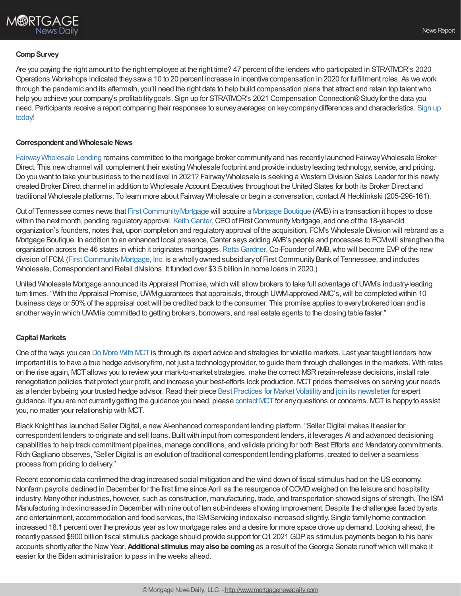## **Comp Survey**

Are you paying the right amount to the right employee at the right time? 47 percent of the lenders who participated in STRATMOR's 2020 Operations Workshops indicated theysawa 10 to 20 percent increase in incentive compensation in 2020 for fulfillment roles. As we work through the pandemic and its aftermath, you'll need the right data to help build compensation plans that attract and retain top talentwho help you achieve your company's profitability goals. Sign up for STRATMOR's 2021 Compensation Connection® Study for the data you need. Participants receive a report comparing their responses to surveyaverages on [keycompanydifferences](https://www.stratmorprograms.com/2021CompRegistration) and characteristics. Sign up today!

### **Correspondent andWholesale News**

[FairwayWholesale](https://www.fairwaywholesalelending.com/) Lending remains committed to the mortgage broker communityand has recentlylaunched FairwayWholesale Broker Direct. This newchannel will complement their existing Wholesale footprint and provide industryleading technology, service, and pricing. Do you want to take your business to the next level in 2021? FairwayWholesale is seeking a Western Division Sales Leader for this newly created Broker Direct channel in addition to Wholesale Account Executives throughout the United States for both its Broker Direct and traditional Wholesale platforms. To learn more about FairwayWholesale or begin a conversation, contact Al Hecklinkski (205-296-161).

Out of Tennessee comes news that First Community [Mortgage](https://amortgageboutique.com/) will acquire a Mortgage Boutique (AMB) in a transaction it hopes to close within the next month, pending regulatory approval. Keith [Canter](https://www.linkedin.com/in/keith-canter-7242b838/), CEO of First Community Mortgage, and one of the 18-year-old organization's founders, notes that, upon completion and regulatoryapproval of the acquisition, FCM's Wholesale Division will rebrand as a Mortgage Boutique. In addition to an enhanced local presence, Canter says adding AMB's people and processes to FCM will strengthen the organization across the 46 states in which it originates mortgages. Retta Gardner, Co-Founder of AMB, who will become EVP of the new division of FCM. (First Community Mortgage, Inc. is a wholly owned subsidiary of First Community Bank of Tennessee, and includes Wholesale, Correspondent and Retail divisions. It funded over \$3.5 billion in home loans in 2020.)

United Wholesale Mortgage announced its Appraisal Promise, which will allow brokers to take full advantage of UWM's industry-leading turn times. "With the Appraisal Promise, UWM guarantees that appraisals, through UWM-approved AMC's, will be completed within 10 business days or 50%of the appraisal costwill be credited back to the consumer. This promise applies to everybrokered loan and is another wayin which UWMis committed to getting brokers, borrowers, and real estate agents to the closing table faster."

## **Capital Markets**

One of the ways you can Do [More](https://mct-trading.com/mortgage-profitability-calculator/?utm_source=ChrismanBlurb&utm_medium=email&utm_campaign=Chrisman_Email_Jan14) With MCTis through its expert advice and strategies for volatile markets. Last year taught lenders how important it is to have a true hedge advisory firm, not just a technology provider, to guide them through challenges in the markets. With rates on the rise again, MCTallows you to reviewyour mark-to-market strategies, make the correct MSRretain-release decisions, install rate renegotiation policies that protect your profit, and increase your best-efforts lock production. MCT prides themselves on serving your needs as a lender by being your trusted hedge advisor. Read their piece Best [Practices](https://mct-trading.com/operational-best-practices-2020-market-volatility/?utm_source=ChrismanBlurb&utm_medium=email&utm_campaign=Chrisman_Email_Jan14) for Market Volatility and join its [newsletter](https://mct-trading.com/newsroom/?utm_source=ChrismanBlurb&utm_medium=email&utm_campaign=Chrisman_Email_Jan14#join) for expert guidance. If you are not currently getting the guidance you need, please [contact](https://mct-trading.com/contact/?utm_source=ChrismanBlurb&utm_medium=email&utm_campaign=Chrisman_Email_Jan14) MCT for any questions or concerns. MCT is happy to assist you, no matter your relationship with MCT.

Black Knight has launched Seller Digital, a new AI-enhanced correspondent lending platform. "Seller Digital makes it easier for correspondent lenders to originate and sell loans. Built with input from correspondent lenders, it leverages AI and advanced decisioning capabilities to help track commitment pipelines, manage conditions, and validate pricing for both Best Efforts and Mandatorycommitments. RichGagliano observes, "Seller Digital is an evolution of traditional correspondent lending platforms, created to deliver a seamless process from pricing to delivery."

Recent economic data confirmed the drag increased social mitigation and the wind down of fiscal stimulus had on the USeconomy. Nonfarm payrolls declined in December for the first time since April as the resurgence of COVID weighed on the leisure and hospitality industry. Manyother industries, however, such as construction, manufacturing, trade, and transportation showed signs of strength. The ISM Manufacturing Index increased in December with nine out of ten sub-indexes showing improvement. Despite the challenges faced by arts and entertainment, accommodation and food services, the ISMServicing indexalso increased slightly. Single familyhome contraction increased 18.1 percent over the previous year as low mortgage rates and a desire for more space drove up demand. Looking ahead, the recently passed \$900 billion fiscal stimulus package should provide support for Q1 2021 GDP as stimulus payments began to his bank accounts shortlyafter the NewYear.**Additional stimulus mayalsobe coming**as a result of theGeorgia Senate runoffwhich will make it easier for the Biden administration to pass in the weeks ahead.